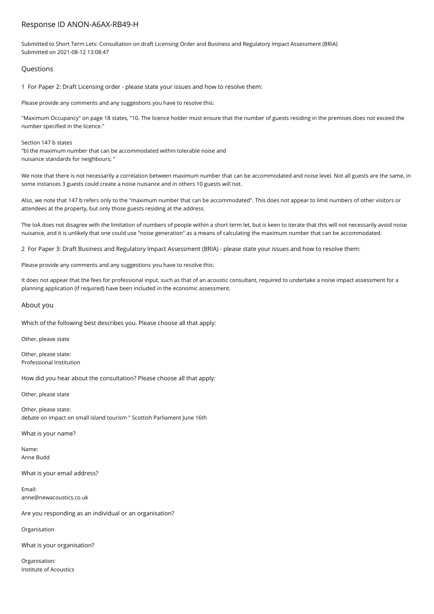## Response ID ANON-A6AX-RB49-H

Submitted to Short Term Lets: Consultation on draft Licensing Order and Business and Regulatory Impact Assessment (BRIA) Submitted on 2021-08-12 13:08:47

## Questions

1 For Paper 2: Draft Licensing order - please state your issues and how to resolve them:

Please provide any comments and any suggestions you have to resolve this:

"Maximum Occupancy" on page 18 states, "10. The licence holder must ensure that the number of guests residing in the premises does not exceed the number specified in the licence."

Section 147 b states "b) the maximum number that can be accommodated within tolerable noise and nuisance standards for neighbours; "

We note that there is not necessarily a correlation between maximum number that can be accommodated and noise level. Not all guests are the same, in some instances 3 guests could create a noise nuisance and in others 10 guests will not.

Also, we note that 147 b refers only to the "maximum number that can be accommodated". This does not appear to limit numbers of other visitors or attendees at the property, but only those guests residing at the address.

The IoA does not disagree with the limitation of numbers of people within a short term let, but is keen to iterate that this will not necessarily avoid noise nuisance, and it is unlikely that one could use "noise generation" as a means of calculating the maximum number that can be accommodated.

2 For Paper 3: Draft Business and Regulatory Impact Assessment (BRIA) - please state your issues and how to resolve them:

Please provide any comments and any suggestions you have to resolve this:

It does not appear that the fees for professional input, such as that of an acoustic consultant, required to undertake a noise impact assessment for a planning application (if required) have been included in the economic assessment.

## About you

Which of the following best describes you. Please choose all that apply:

Other, please state

Other, please state: Professional Institution

How did you hear about the consultation? Please choose all that apply:

Other, please state

Other, please state: debate on impact on small island tourism " Scottish Parliament June 16th

What is your name?

Name: Anne Budd

What is your email address?

Email: anne@newacoustics.co.uk

Are you responding as an individual or an organisation?

Organisation

What is your organisation?

Organisation: Institute of Acoustics